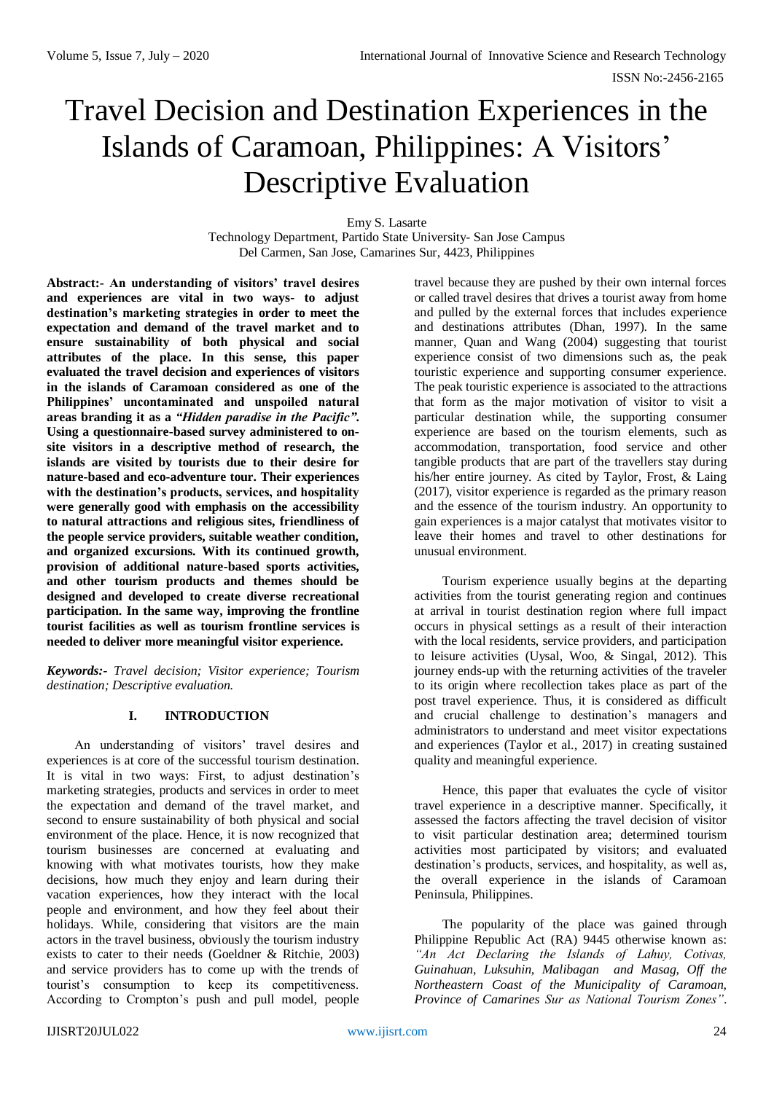# Travel Decision and Destination Experiences in the Islands of Caramoan, Philippines: A Visitors' Descriptive Evaluation

Emy S. Lasarte

Technology Department, Partido State University- San Jose Campus Del Carmen, San Jose, Camarines Sur, 4423, Philippines

**Abstract:- An understanding of visitors' travel desires and experiences are vital in two ways- to adjust destination's marketing strategies in order to meet the expectation and demand of the travel market and to ensure sustainability of both physical and social attributes of the place. In this sense, this paper evaluated the travel decision and experiences of visitors in the islands of Caramoan considered as one of the Philippines' uncontaminated and unspoiled natural areas branding it as a** *"Hidden paradise in the Pacific"***. Using a questionnaire-based survey administered to onsite visitors in a descriptive method of research, the islands are visited by tourists due to their desire for nature-based and eco-adventure tour. Their experiences with the destination's products, services, and hospitality were generally good with emphasis on the accessibility to natural attractions and religious sites, friendliness of the people service providers, suitable weather condition, and organized excursions. With its continued growth, provision of additional nature-based sports activities, and other tourism products and themes should be designed and developed to create diverse recreational participation. In the same way, improving the frontline tourist facilities as well as tourism frontline services is needed to deliver more meaningful visitor experience.** 

*Keywords:- Travel decision; Visitor experience; Tourism destination; Descriptive evaluation.*

# **I. INTRODUCTION**

An understanding of visitors' travel desires and experiences is at core of the successful tourism destination. It is vital in two ways: First, to adjust destination's marketing strategies, products and services in order to meet the expectation and demand of the travel market, and second to ensure sustainability of both physical and social environment of the place. Hence, it is now recognized that tourism businesses are concerned at evaluating and knowing with what motivates tourists, how they make decisions, how much they enjoy and learn during their vacation experiences, how they interact with the local people and environment, and how they feel about their holidays. While, considering that visitors are the main actors in the travel business, obviously the tourism industry exists to cater to their needs (Goeldner & Ritchie, 2003) and service providers has to come up with the trends of tourist's consumption to keep its competitiveness. According to Crompton's push and pull model, people travel because they are pushed by their own internal forces or called travel desires that drives a tourist away from home and pulled by the external forces that includes experience and destinations attributes (Dhan, 1997). In the same manner, Quan and Wang (2004) suggesting that tourist experience consist of two dimensions such as, the peak touristic experience and supporting consumer experience. The peak touristic experience is associated to the attractions that form as the major motivation of visitor to visit a particular destination while, the supporting consumer experience are based on the tourism elements, such as accommodation, transportation, food service and other tangible products that are part of the travellers stay during his/her entire journey. As cited by Taylor, Frost, & Laing (2017), visitor experience is regarded as the primary reason and the essence of the tourism industry. An opportunity to gain experiences is a major catalyst that motivates visitor to leave their homes and travel to other destinations for unusual environment.

Tourism experience usually begins at the departing activities from the tourist generating region and continues at arrival in tourist destination region where full impact occurs in physical settings as a result of their interaction with the local residents, service providers, and participation to leisure activities (Uysal, Woo, & Singal, 2012). This journey ends-up with the returning activities of the traveler to its origin where recollection takes place as part of the post travel experience. Thus, it is considered as difficult and crucial challenge to destination's managers and administrators to understand and meet visitor expectations and experiences (Taylor et al., 2017) in creating sustained quality and meaningful experience.

Hence, this paper that evaluates the cycle of visitor travel experience in a descriptive manner. Specifically, it assessed the factors affecting the travel decision of visitor to visit particular destination area; determined tourism activities most participated by visitors; and evaluated destination's products, services, and hospitality, as well as, the overall experience in the islands of Caramoan Peninsula, Philippines.

The popularity of the place was gained through Philippine Republic Act (RA) 9445 otherwise known as: *"An Act Declaring the Islands of Lahuy, Cotivas, Guinahuan, Luksuhin, Malibagan and Masag, Off the Northeastern Coast of the Municipality of Caramoan, Province of Camarines Sur as National Tourism Zones"*.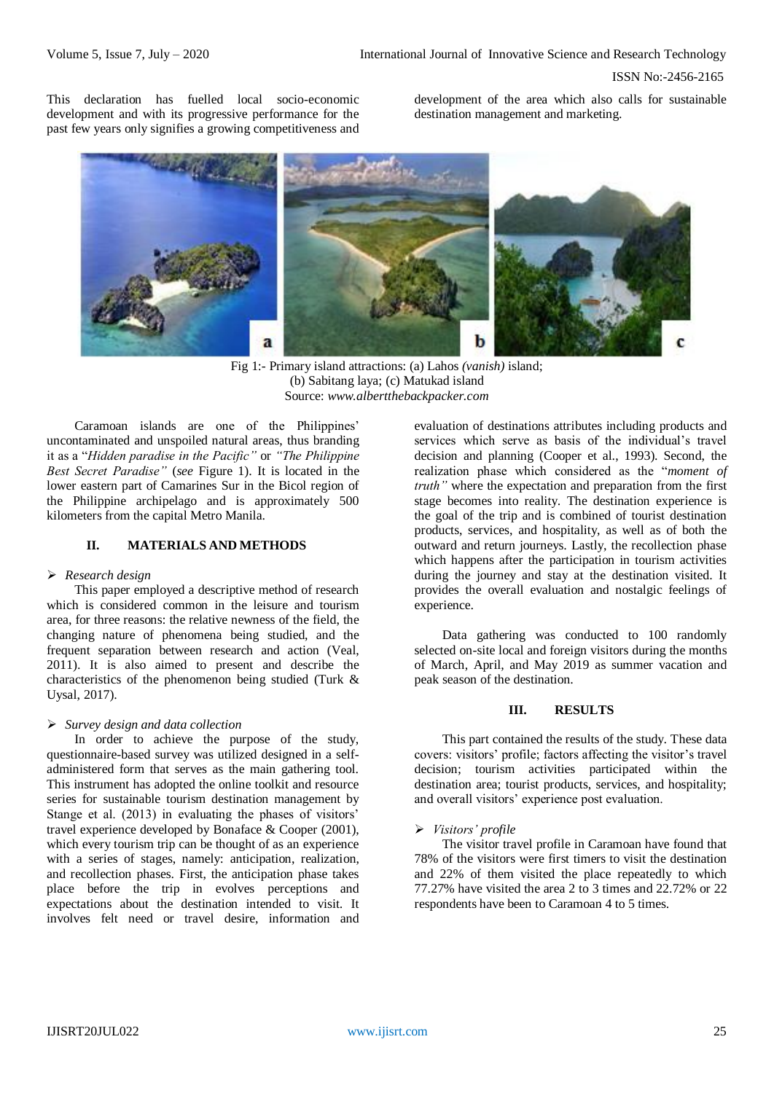This declaration has fuelled local socio-economic development and with its progressive performance for the past few years only signifies a growing competitiveness and development of the area which also calls for sustainable destination management and marketing.



Fig 1:- Primary island attractions: (a) Lahos *(vanish)* island; (b) Sabitang laya; (c) Matukad island Source: *www.albertthebackpacker.com*

Caramoan islands are one of the Philippines' uncontaminated and unspoiled natural areas, thus branding it as a "*Hidden paradise in the Pacific"* or *"The Philippine Best Secret Paradise"* (*see* Figure 1). It is located in the lower eastern part of Camarines Sur in the Bicol region of the Philippine archipelago and is approximately 500 kilometers from the capital Metro Manila.

# **II. MATERIALS AND METHODS**

## *Research design*

This paper employed a descriptive method of research which is considered common in the leisure and tourism area, for three reasons: the relative newness of the field, the changing nature of phenomena being studied, and the frequent separation between research and action (Veal, 2011). It is also aimed to present and describe the characteristics of the phenomenon being studied (Turk & Uysal, 2017).

## *Survey design and data collection*

In order to achieve the purpose of the study, questionnaire-based survey was utilized designed in a selfadministered form that serves as the main gathering tool. This instrument has adopted the online toolkit and resource series for sustainable tourism destination management by Stange et al. (2013) in evaluating the phases of visitors' travel experience developed by Bonaface & Cooper (2001), which every tourism trip can be thought of as an experience with a series of stages, namely: anticipation, realization, and recollection phases. First, the anticipation phase takes place before the trip in evolves perceptions and expectations about the destination intended to visit. It involves felt need or travel desire, information and

evaluation of destinations attributes including products and services which serve as basis of the individual's travel decision and planning (Cooper et al., 1993). Second, the realization phase which considered as the "*moment of truth"* where the expectation and preparation from the first stage becomes into reality. The destination experience is the goal of the trip and is combined of tourist destination products, services, and hospitality, as well as of both the outward and return journeys. Lastly, the recollection phase which happens after the participation in tourism activities during the journey and stay at the destination visited. It provides the overall evaluation and nostalgic feelings of experience.

Data gathering was conducted to 100 randomly selected on-site local and foreign visitors during the months of March, April, and May 2019 as summer vacation and peak season of the destination.

## **III. RESULTS**

This part contained the results of the study. These data covers: visitors' profile; factors affecting the visitor's travel decision; tourism activities participated within the destination area; tourist products, services, and hospitality; and overall visitors' experience post evaluation.

## *Visitors' profile*

The visitor travel profile in Caramoan have found that 78% of the visitors were first timers to visit the destination and 22% of them visited the place repeatedly to which 77.27% have visited the area 2 to 3 times and 22.72% or 22 respondents have been to Caramoan 4 to 5 times.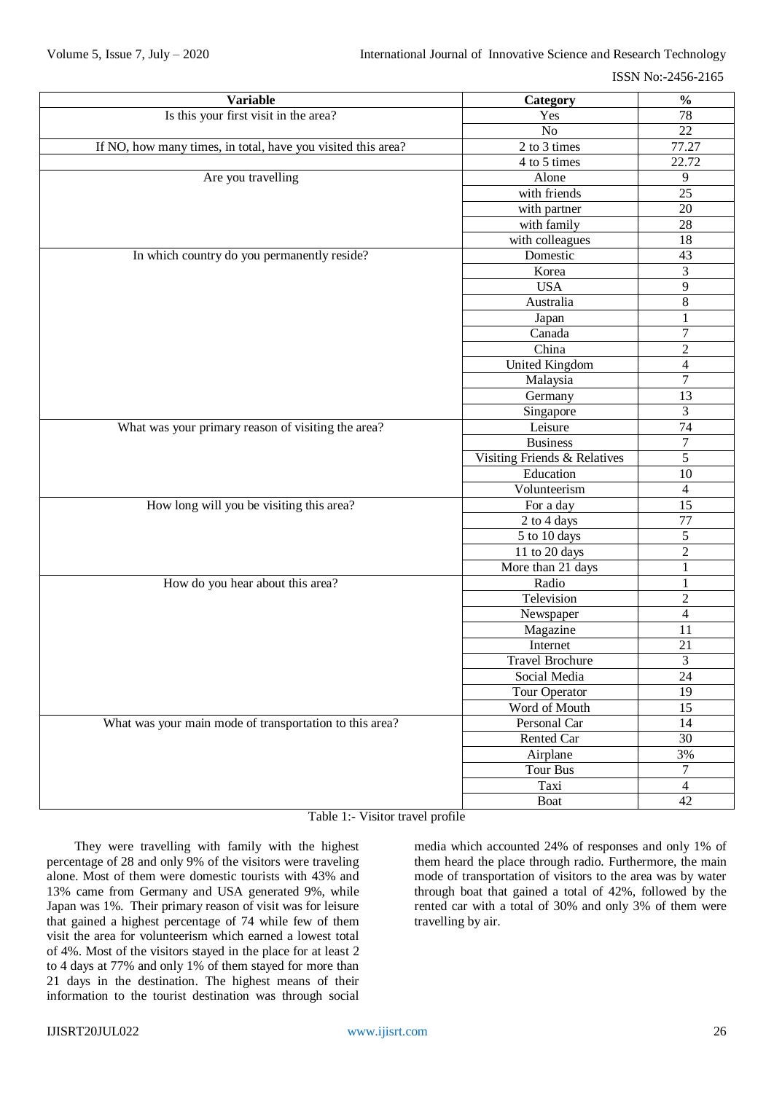| <b>Variable</b>                                              | Category                     | $\frac{0}{0}$           |
|--------------------------------------------------------------|------------------------------|-------------------------|
| Is this your first visit in the area?                        | Yes                          |                         |
|                                                              | No                           | 22                      |
| If NO, how many times, in total, have you visited this area? | 2 to 3 times                 | 77.27                   |
|                                                              | 4 to 5 times                 | 22.72                   |
| Are you travelling                                           | Alone                        | 9                       |
|                                                              | with friends                 | 25                      |
|                                                              | with partner                 | $20\,$                  |
|                                                              | with family                  | $28\,$                  |
|                                                              | with colleagues              | $18\,$                  |
| In which country do you permanently reside?                  | Domestic                     | 43                      |
|                                                              | Korea                        | $\overline{3}$          |
|                                                              | <b>USA</b>                   | $\overline{9}$          |
|                                                              | Australia                    | $8\,$                   |
|                                                              | Japan                        | $\,1$                   |
|                                                              | Canada                       | $\overline{7}$          |
|                                                              | China                        | $\sqrt{2}$              |
|                                                              | <b>United Kingdom</b>        | $\overline{\mathbf{4}}$ |
|                                                              | Malaysia                     | $\overline{7}$          |
|                                                              | Germany                      | 13                      |
|                                                              | Singapore                    | $\overline{3}$          |
| What was your primary reason of visiting the area?           | Leisure                      | $\overline{74}$         |
|                                                              | <b>Business</b>              | $\boldsymbol{7}$        |
|                                                              | Visiting Friends & Relatives | $\overline{5}$          |
|                                                              | Education                    | $10\,$                  |
|                                                              | Volunteerism                 | $\overline{4}$          |
| How long will you be visiting this area?                     | For a day                    | 15                      |
|                                                              | 2 to 4 days                  | 77                      |
|                                                              | 5 to 10 days                 | $\overline{5}$          |
|                                                              | 11 to 20 days                | $\overline{c}$          |
|                                                              | More than 21 days            | $\mathbf{1}$            |
| How do you hear about this area?                             | Radio                        | $\mathbf{1}$            |
|                                                              | Television                   | $\overline{c}$          |
|                                                              | Newspaper                    | $\overline{4}$          |
|                                                              | Magazine                     | 11                      |
|                                                              | Internet                     | 21                      |
|                                                              | <b>Travel Brochure</b>       | 3                       |
|                                                              | Social Media                 | 24                      |
|                                                              | Tour Operator                | 19                      |
|                                                              | Word of Mouth                | 15                      |
| What was your main mode of transportation to this area?      | Personal Car                 | 14                      |
|                                                              | Rented Car                   | $\overline{30}$         |
|                                                              | Airplane                     | 3%                      |
|                                                              | <b>Tour Bus</b>              | 7                       |
|                                                              | Taxi                         | $\overline{4}$          |
|                                                              | Boat                         | 42                      |

Table 1:- Visitor travel profile

They were travelling with family with the highest percentage of 28 and only 9% of the visitors were traveling alone. Most of them were domestic tourists with 43% and 13% came from Germany and USA generated 9%, while Japan was 1%. Their primary reason of visit was for leisure that gained a highest percentage of 74 while few of them visit the area for volunteerism which earned a lowest total of 4%. Most of the visitors stayed in the place for at least 2 to 4 days at 77% and only 1% of them stayed for more than 21 days in the destination. The highest means of their information to the tourist destination was through social

media which accounted 24% of responses and only 1% of them heard the place through radio. Furthermore, the main mode of transportation of visitors to the area was by water through boat that gained a total of 42%, followed by the rented car with a total of 30% and only 3% of them were travelling by air.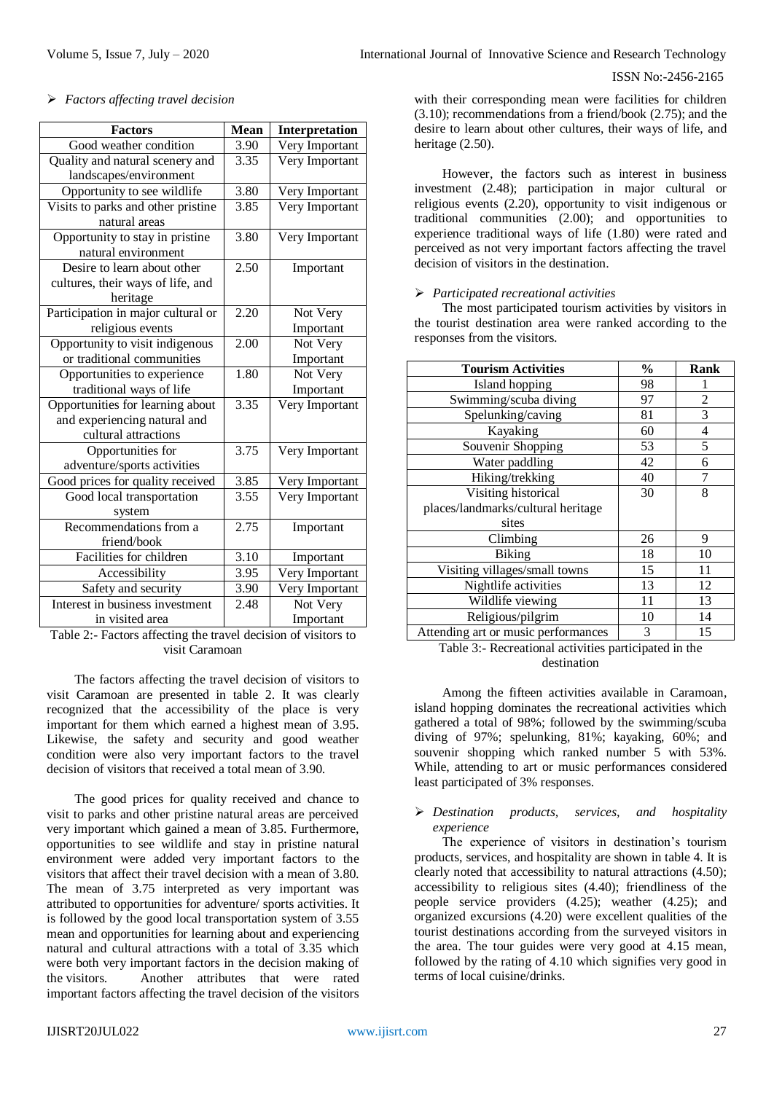# *Factors affecting travel decision*

| <b>Factors</b>                     | <b>Mean</b> | <b>Interpretation</b> |
|------------------------------------|-------------|-----------------------|
| Good weather condition             | 3.90        | Very Important        |
| Quality and natural scenery and    | 3.35        | Very Important        |
| landscapes/environment             |             |                       |
| Opportunity to see wildlife        | 3.80        | Very Important        |
| Visits to parks and other pristine | 3.85        | Very Important        |
| natural areas                      |             |                       |
| Opportunity to stay in pristine    | 3.80        | Very Important        |
| natural environment                |             |                       |
| Desire to learn about other        | 2.50        | Important             |
| cultures, their ways of life, and  |             |                       |
| heritage                           |             |                       |
| Participation in major cultural or | 2.20        | Not Very              |
| religious events                   |             | Important             |
| Opportunity to visit indigenous    | 2.00        | Not Very              |
| or traditional communities         |             | Important             |
| Opportunities to experience        | 1.80        | Not Very              |
| traditional ways of life           |             | Important             |
| Opportunities for learning about   | 3.35        | Very Important        |
| and experiencing natural and       |             |                       |
| cultural attractions               |             |                       |
| Opportunities for                  | 3.75        | Very Important        |
| adventure/sports activities        |             |                       |
| Good prices for quality received   | 3.85        | Very Important        |
| Good local transportation          | 3.55        | Very Important        |
| system                             |             |                       |
| Recommendations from a             | 2.75        | Important             |
| friend/book                        |             |                       |
| Facilities for children            | 3.10        | Important             |
| Accessibility                      | 3.95        | Very Important        |
| Safety and security                | 3.90        | Very Important        |
| Interest in business investment    | 2.48        | Not Very              |
| in visited area                    |             | Important             |

Table 2:- Factors affecting the travel decision of visitors to visit Caramoan

The factors affecting the travel decision of visitors to visit Caramoan are presented in table 2. It was clearly recognized that the accessibility of the place is very important for them which earned a highest mean of 3.95. Likewise, the safety and security and good weather condition were also very important factors to the travel decision of visitors that received a total mean of 3.90.

The good prices for quality received and chance to visit to parks and other pristine natural areas are perceived very important which gained a mean of 3.85. Furthermore, opportunities to see wildlife and stay in pristine natural environment were added very important factors to the visitors that affect their travel decision with a mean of 3.80. The mean of 3.75 interpreted as very important was attributed to opportunities for adventure/ sports activities. It is followed by the good local transportation system of 3.55 mean and opportunities for learning about and experiencing natural and cultural attractions with a total of 3.35 which were both very important factors in the decision making of the visitors. Another attributes that were rated important factors affecting the travel decision of the visitors

with their corresponding mean were facilities for children (3.10); recommendations from a friend/book (2.75); and the desire to learn about other cultures, their ways of life, and heritage (2.50).

However, the factors such as interest in business investment (2.48); participation in major cultural or religious events (2.20), opportunity to visit indigenous or traditional communities (2.00); and opportunities to experience traditional ways of life (1.80) were rated and perceived as not very important factors affecting the travel decision of visitors in the destination.

## *Participated recreational activities*

The most participated tourism activities by visitors in the tourist destination area were ranked according to the responses from the visitors.

| <b>Tourism Activities</b>           | $\frac{0}{0}$ | Rank |
|-------------------------------------|---------------|------|
| Island hopping                      | 98            |      |
| Swimming/scuba diving               | 97            | 2    |
| Spelunking/caving                   | 81            | 3    |
| Kayaking                            | 60            | 4    |
| Souvenir Shopping                   | 53            | 5    |
| Water paddling                      | 42            | 6    |
| Hiking/trekking                     | 40            | 7    |
| Visiting historical                 | 30            | 8    |
| places/landmarks/cultural heritage  |               |      |
| sites                               |               |      |
| Climbing                            | 26            | 9    |
| <b>Biking</b>                       | 18            | 10   |
| Visiting villages/small towns       | 15            | 11   |
| Nightlife activities                | 13            | 12   |
| Wildlife viewing                    | 11            | 13   |
| Religious/pilgrim                   | 10            | 14   |
| Attending art or music performances | 3             | 15   |

Table 3:- Recreational activities participated in the destination

Among the fifteen activities available in Caramoan, island hopping dominates the recreational activities which gathered a total of 98%; followed by the swimming/scuba diving of 97%; spelunking, 81%; kayaking, 60%; and souvenir shopping which ranked number 5 with 53%. While, attending to art or music performances considered least participated of 3% responses.

## *Destination products, services, and hospitality experience*

The experience of visitors in destination's tourism products, services, and hospitality are shown in table 4. It is clearly noted that accessibility to natural attractions (4.50); accessibility to religious sites (4.40); friendliness of the people service providers (4.25); weather (4.25); and organized excursions (4.20) were excellent qualities of the tourist destinations according from the surveyed visitors in the area. The tour guides were very good at 4.15 mean, followed by the rating of 4.10 which signifies very good in terms of local cuisine/drinks.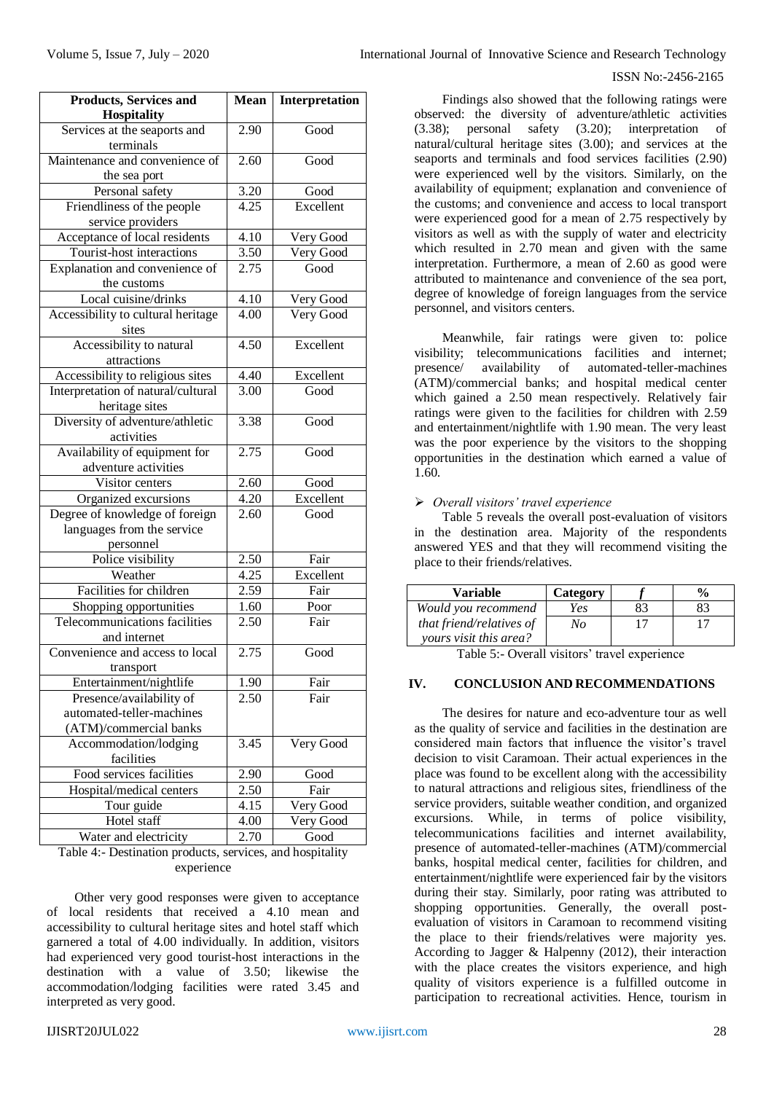| <b>Products, Services and</b><br><b>Hospitality</b> | <b>Mean</b>       | Interpretation |  |
|-----------------------------------------------------|-------------------|----------------|--|
| Services at the seaports and<br>terminals           | 2.90              | Good           |  |
| Maintenance and convenience of                      | 2.60              | Good           |  |
| the sea port                                        |                   |                |  |
| Personal safety                                     | 3.20              | Good           |  |
| Friendliness of the people                          | 4.25              | Excellent      |  |
| service providers                                   |                   |                |  |
| Acceptance of local residents                       | 4.10              | Very Good      |  |
| Tourist-host interactions                           | 3.50              | Very Good      |  |
| Explanation and convenience of                      | 2.75              | Good           |  |
| the customs                                         |                   |                |  |
| Local cuisine/drinks                                | 4.10              | Very Good      |  |
| Accessibility to cultural heritage                  | 4.00              | Very Good      |  |
| sites                                               |                   |                |  |
| Accessibility to natural                            | 4.50              | Excellent      |  |
| attractions                                         |                   |                |  |
| Accessibility to religious sites                    | 4.40              | Excellent      |  |
| Interpretation of natural/cultural                  | 3.00              | Good           |  |
| heritage sites                                      |                   |                |  |
| Diversity of adventure/athletic                     | 3.38              | Good           |  |
| activities                                          |                   |                |  |
| Availability of equipment for                       | 2.75              | Good           |  |
| adventure activities                                |                   |                |  |
| Visitor centers                                     | 2.60              | Good           |  |
| Organized excursions                                | 4.20              | Excellent      |  |
| Degree of knowledge of foreign                      | 2.60              | Good           |  |
| languages from the service                          |                   |                |  |
| personnel                                           |                   |                |  |
| Police visibility                                   | $\overline{2.50}$ | Fair           |  |
| Weather                                             | 4.25              | Excellent      |  |
| Facilities for children                             | 2.59              | Fair           |  |
| Shopping opportunities                              | 1.60              | Poor           |  |
| Telecommunications facilities                       | 2.50              | Fair           |  |
| and internet                                        | 2.75              | Good           |  |
| Convenience and access to local                     |                   |                |  |
| transport                                           |                   | Fair           |  |
| Entertainment/nightlife<br>Presence/availability of | 1.90<br>2.50      |                |  |
| automated-teller-machines                           |                   | Fair           |  |
| (ATM)/commercial banks                              |                   |                |  |
| Accommodation/lodging                               | 3.45              | Very Good      |  |
| facilities                                          |                   |                |  |
| Food services facilities                            | 2.90              | Good           |  |
| Hospital/medical centers                            | 2.50              | Fair           |  |
| Tour guide                                          | 4.15              | Very Good      |  |
| Hotel staff                                         | 4.00              | Very Good      |  |
| Water and electricity                               | 2.70              | Good           |  |
|                                                     |                   |                |  |

Table 4:- Destination products, services, and hospitality experience

Other very good responses were given to acceptance of local residents that received a 4.10 mean and accessibility to cultural heritage sites and hotel staff which garnered a total of 4.00 individually. In addition, visitors had experienced very good tourist-host interactions in the destination with a value of 3.50; likewise the accommodation/lodging facilities were rated 3.45 and interpreted as very good.

Volume 5, Issue 7, July – 2020 **International Journal of Innovative Science and Research Technology** 

## ISSN No:-2456-2165

Findings also showed that the following ratings were observed: the diversity of adventure/athletic activities (3.38); personal safety (3.20); interpretation of natural/cultural heritage sites (3.00); and services at the seaports and terminals and food services facilities (2.90) were experienced well by the visitors. Similarly, on the availability of equipment; explanation and convenience of the customs; and convenience and access to local transport were experienced good for a mean of 2.75 respectively by visitors as well as with the supply of water and electricity which resulted in 2.70 mean and given with the same interpretation. Furthermore, a mean of 2.60 as good were attributed to maintenance and convenience of the sea port, degree of knowledge of foreign languages from the service personnel, and visitors centers.

Meanwhile, fair ratings were given to: police visibility; telecommunications facilities and internet; presence/ availability of automated-teller-machines (ATM)/commercial banks; and hospital medical center which gained a 2.50 mean respectively. Relatively fair ratings were given to the facilities for children with 2.59 and entertainment/nightlife with 1.90 mean. The very least was the poor experience by the visitors to the shopping opportunities in the destination which earned a value of 1.60.

# *Overall visitors' travel experience*

Table 5 reveals the overall post-evaluation of visitors in the destination area. Majority of the respondents answered YES and that they will recommend visiting the place to their friends/relatives.

| Variable                 | Category |    |  |
|--------------------------|----------|----|--|
| Would you recommend      | Yes      | 83 |  |
| that friend/relatives of | Nο       |    |  |
| yours visit this area?   |          |    |  |

Table 5:- Overall visitors' travel experience

# **IV. CONCLUSION AND RECOMMENDATIONS**

The desires for nature and eco-adventure tour as well as the quality of service and facilities in the destination are considered main factors that influence the visitor's travel decision to visit Caramoan. Their actual experiences in the place was found to be excellent along with the accessibility to natural attractions and religious sites, friendliness of the service providers, suitable weather condition, and organized excursions. While, in terms of police visibility, telecommunications facilities and internet availability, presence of automated-teller-machines (ATM)/commercial banks, hospital medical center, facilities for children, and entertainment/nightlife were experienced fair by the visitors during their stay. Similarly, poor rating was attributed to shopping opportunities. Generally, the overall postevaluation of visitors in Caramoan to recommend visiting the place to their friends/relatives were majority yes. According to Jagger & Halpenny (2012), their interaction with the place creates the visitors experience, and high quality of visitors experience is a fulfilled outcome in participation to recreational activities. Hence, tourism in